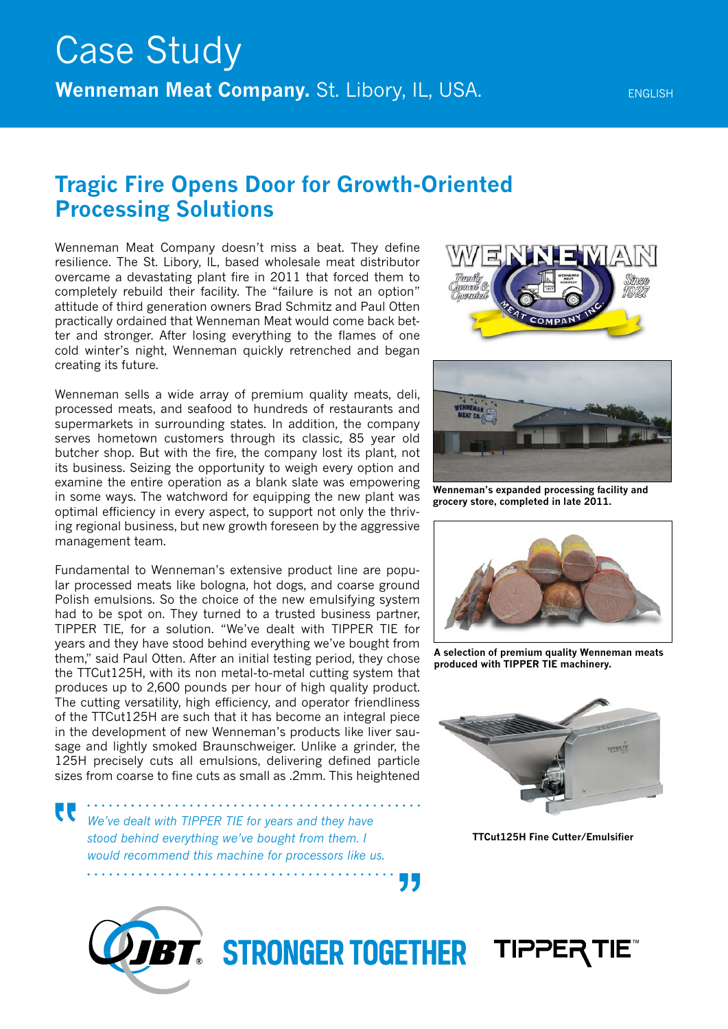## **Tragic Fire Opens Door for Growth-Oriented Processing Solutions**

Wenneman Meat Company doesn't miss a beat. They define resilience. The St. Libory, IL, based wholesale meat distributor overcame a devastating plant fire in 2011 that forced them to completely rebuild their facility. The "failure is not an option" attitude of third generation owners Brad Schmitz and Paul Otten practically ordained that Wenneman Meat would come back better and stronger. After losing everything to the flames of one cold winter's night, Wenneman quickly retrenched and began creating its future.

Wenneman sells a wide array of premium quality meats, deli, processed meats, and seafood to hundreds of restaurants and supermarkets in surrounding states. In addition, the company serves hometown customers through its classic, 85 year old butcher shop. But with the fire, the company lost its plant, not its business. Seizing the opportunity to weigh every option and examine the entire operation as a blank slate was empowering in some ways. The watchword for equipping the new plant was optimal efficiency in every aspect, to support not only the thriving regional business, but new growth foreseen by the aggressive management team.

Fundamental to Wenneman's extensive product line are popular processed meats like bologna, hot dogs, and coarse ground Polish emulsions. So the choice of the new emulsifying system had to be spot on. They turned to a trusted business partner, TIPPER TIE, for a solution. "We've dealt with TIPPER TIE for years and they have stood behind everything we've bought from them," said Paul Otten. After an initial testing period, they chose the TTCut125H, with its non metal-to-metal cutting system that produces up to 2,600 pounds per hour of high quality product. The cutting versatility, high efficiency, and operator friendliness of the TTCut125H are such that it has become an integral piece in the development of new Wenneman's products like liver sausage and lightly smoked Braunschweiger. Unlike a grinder, the 125H precisely cuts all emulsions, delivering defined particle sizes from coarse to fine cuts as small as .2mm. This heightened

W

*We've dealt with TIPPER TIE for years and they have stood behind everything we've bought from them. I would recommend this machine for processors like us.*





**Wenneman's expanded processing facility and grocery store, completed in late 2011.**



**A selection of premium quality Wenneman meats produced with TIPPER TIE machinery.**



**TTCut125H Fine Cutter/Emulsifier**



**BT. STRONGER TOGETHER TIPPER TIE** 

75